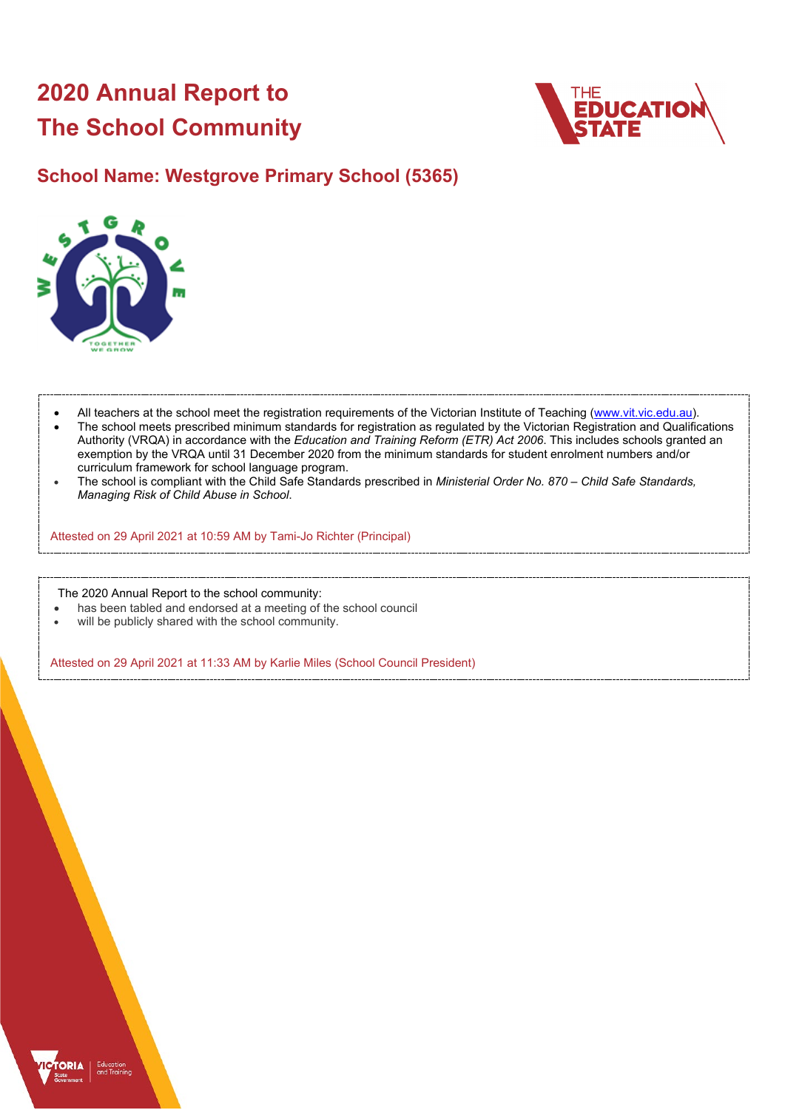# **2020 Annual Report to The School Community**



## **School Name: Westgrove Primary School (5365)**



- All teachers at the school meet the registration requirements of the Victorian Institute of Teaching [\(www.vit.vic.edu.au\)](https://www.vit.vic.edu.au/).
- The school meets prescribed minimum standards for registration as regulated by the Victorian Registration and Qualifications Authority (VRQA) in accordance with the *Education and Training Reform (ETR) Act 2006*. This includes schools granted an exemption by the VRQA until 31 December 2020 from the minimum standards for student enrolment numbers and/or curriculum framework for school language program.
- The school is compliant with the Child Safe Standards prescribed in *Ministerial Order No. 870 – Child Safe Standards, Managing Risk of Child Abuse in School*.

Attested on 29 April 2021 at 10:59 AM by Tami-Jo Richter (Principal)

The 2020 Annual Report to the school community:

- has been tabled and endorsed at a meeting of the school council
- will be publicly shared with the school community.

Attested on 29 April 2021 at 11:33 AM by Karlie Miles (School Council President)

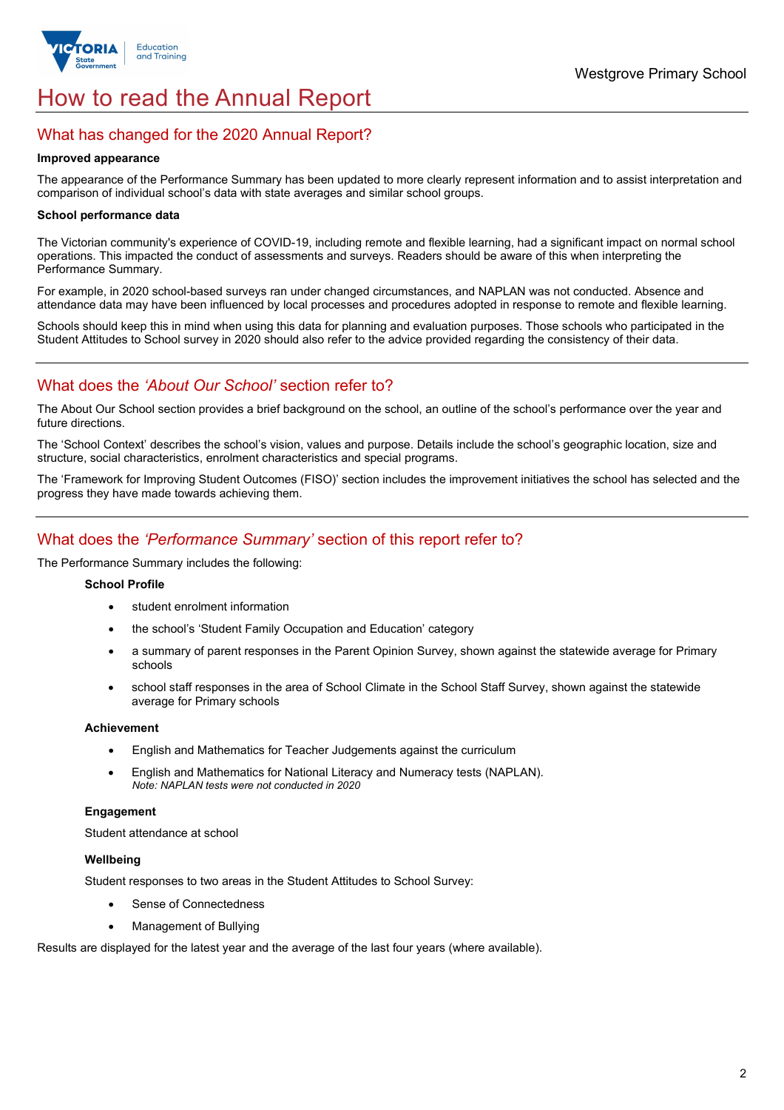

## How to read the Annual Report

### What has changed for the 2020 Annual Report?

#### **Improved appearance**

The appearance of the Performance Summary has been updated to more clearly represent information and to assist interpretation and comparison of individual school's data with state averages and similar school groups.

#### **School performance data**

The Victorian community's experience of COVID-19, including remote and flexible learning, had a significant impact on normal school operations. This impacted the conduct of assessments and surveys. Readers should be aware of this when interpreting the Performance Summary.

For example, in 2020 school-based surveys ran under changed circumstances, and NAPLAN was not conducted. Absence and attendance data may have been influenced by local processes and procedures adopted in response to remote and flexible learning.

Schools should keep this in mind when using this data for planning and evaluation purposes. Those schools who participated in the Student Attitudes to School survey in 2020 should also refer to the advice provided regarding the consistency of their data.

## What does the *'About Our School'* section refer to?

The About Our School section provides a brief background on the school, an outline of the school's performance over the year and future directions.

The 'School Context' describes the school's vision, values and purpose. Details include the school's geographic location, size and structure, social characteristics, enrolment characteristics and special programs.

The 'Framework for Improving Student Outcomes (FISO)' section includes the improvement initiatives the school has selected and the progress they have made towards achieving them.

## What does the *'Performance Summary'* section of this report refer to?

The Performance Summary includes the following:

#### **School Profile**

- student enrolment information
- the school's 'Student Family Occupation and Education' category
- a summary of parent responses in the Parent Opinion Survey, shown against the statewide average for Primary schools
- school staff responses in the area of School Climate in the School Staff Survey, shown against the statewide average for Primary schools

#### **Achievement**

- English and Mathematics for Teacher Judgements against the curriculum
- English and Mathematics for National Literacy and Numeracy tests (NAPLAN). *Note: NAPLAN tests were not conducted in 2020*

#### **Engagement**

Student attendance at school

#### **Wellbeing**

Student responses to two areas in the Student Attitudes to School Survey:

- Sense of Connectedness
- Management of Bullying

Results are displayed for the latest year and the average of the last four years (where available).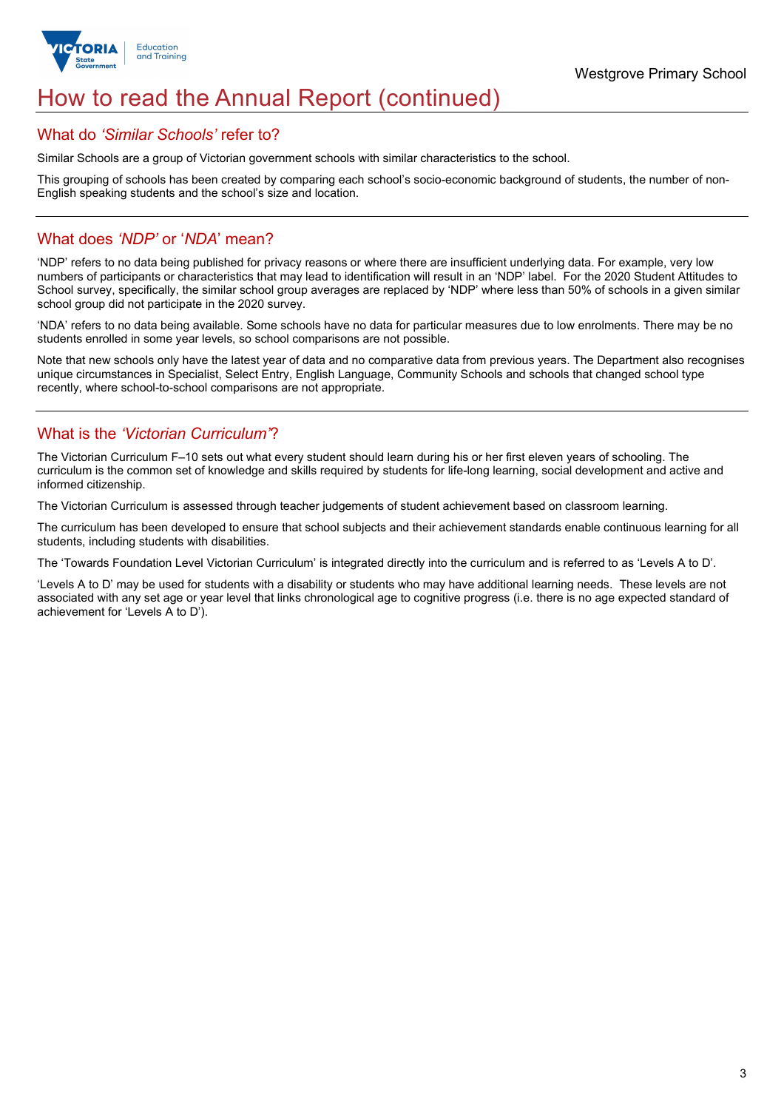

## How to read the Annual Report (continued)

#### What do *'Similar Schools'* refer to?

Similar Schools are a group of Victorian government schools with similar characteristics to the school.

This grouping of schools has been created by comparing each school's socio-economic background of students, the number of non-English speaking students and the school's size and location.

## What does *'NDP'* or '*NDA*' mean?

'NDP' refers to no data being published for privacy reasons or where there are insufficient underlying data. For example, very low numbers of participants or characteristics that may lead to identification will result in an 'NDP' label. For the 2020 Student Attitudes to School survey, specifically, the similar school group averages are replaced by 'NDP' where less than 50% of schools in a given similar school group did not participate in the 2020 survey.

'NDA' refers to no data being available. Some schools have no data for particular measures due to low enrolments. There may be no students enrolled in some year levels, so school comparisons are not possible.

Note that new schools only have the latest year of data and no comparative data from previous years. The Department also recognises unique circumstances in Specialist, Select Entry, English Language, Community Schools and schools that changed school type recently, where school-to-school comparisons are not appropriate.

## What is the *'Victorian Curriculum'*?

The Victorian Curriculum F–10 sets out what every student should learn during his or her first eleven years of schooling. The curriculum is the common set of knowledge and skills required by students for life-long learning, social development and active and informed citizenship.

The Victorian Curriculum is assessed through teacher judgements of student achievement based on classroom learning.

The curriculum has been developed to ensure that school subjects and their achievement standards enable continuous learning for all students, including students with disabilities.

The 'Towards Foundation Level Victorian Curriculum' is integrated directly into the curriculum and is referred to as 'Levels A to D'.

'Levels A to D' may be used for students with a disability or students who may have additional learning needs. These levels are not associated with any set age or year level that links chronological age to cognitive progress (i.e. there is no age expected standard of achievement for 'Levels A to D').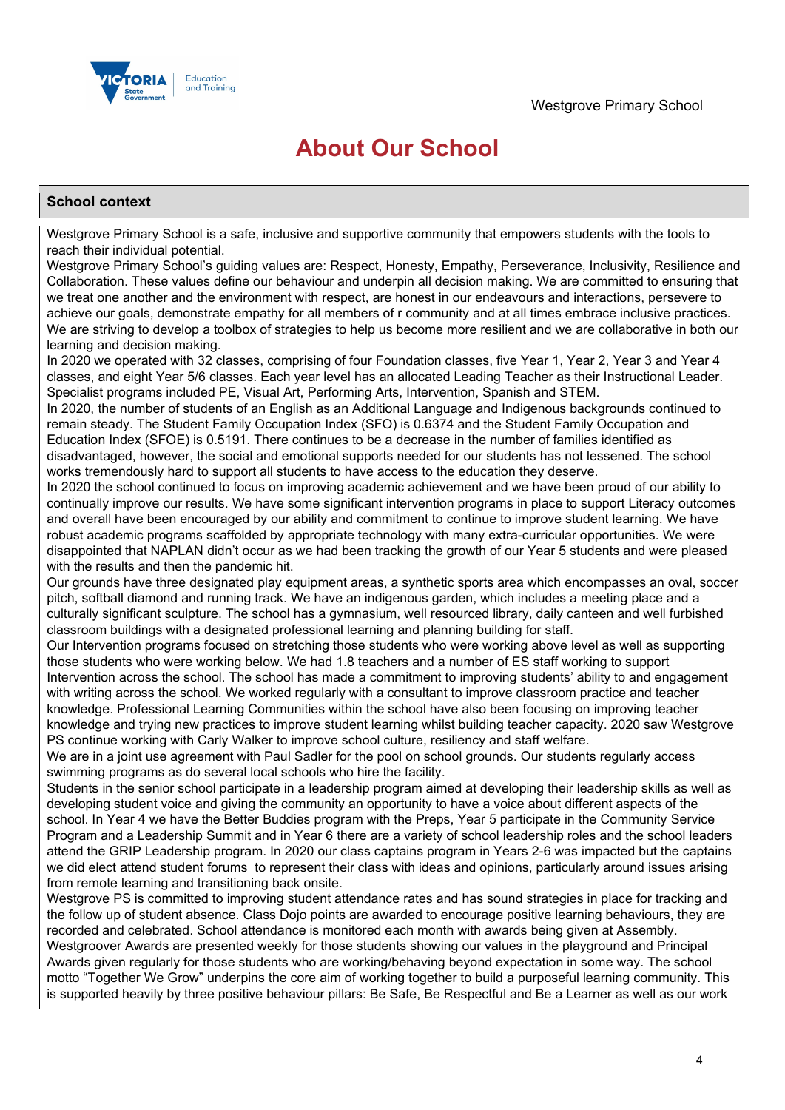

## **About Our School**

#### **School context**

Westgrove Primary School is a safe, inclusive and supportive community that empowers students with the tools to reach their individual potential.

Westgrove Primary School's guiding values are: Respect, Honesty, Empathy, Perseverance, Inclusivity, Resilience and Collaboration. These values define our behaviour and underpin all decision making. We are committed to ensuring that we treat one another and the environment with respect, are honest in our endeavours and interactions, persevere to achieve our goals, demonstrate empathy for all members of r community and at all times embrace inclusive practices. We are striving to develop a toolbox of strategies to help us become more resilient and we are collaborative in both our learning and decision making.

In 2020 we operated with 32 classes, comprising of four Foundation classes, five Year 1, Year 2, Year 3 and Year 4 classes, and eight Year 5/6 classes. Each year level has an allocated Leading Teacher as their Instructional Leader. Specialist programs included PE, Visual Art, Performing Arts, Intervention, Spanish and STEM.

In 2020, the number of students of an English as an Additional Language and Indigenous backgrounds continued to remain steady. The Student Family Occupation Index (SFO) is 0.6374 and the Student Family Occupation and Education Index (SFOE) is 0.5191. There continues to be a decrease in the number of families identified as disadvantaged, however, the social and emotional supports needed for our students has not lessened. The school works tremendously hard to support all students to have access to the education they deserve.

In 2020 the school continued to focus on improving academic achievement and we have been proud of our ability to continually improve our results. We have some significant intervention programs in place to support Literacy outcomes and overall have been encouraged by our ability and commitment to continue to improve student learning. We have robust academic programs scaffolded by appropriate technology with many extra-curricular opportunities. We were disappointed that NAPLAN didn't occur as we had been tracking the growth of our Year 5 students and were pleased with the results and then the pandemic hit.

Our grounds have three designated play equipment areas, a synthetic sports area which encompasses an oval, soccer pitch, softball diamond and running track. We have an indigenous garden, which includes a meeting place and a culturally significant sculpture. The school has a gymnasium, well resourced library, daily canteen and well furbished classroom buildings with a designated professional learning and planning building for staff.

Our Intervention programs focused on stretching those students who were working above level as well as supporting those students who were working below. We had 1.8 teachers and a number of ES staff working to support Intervention across the school. The school has made a commitment to improving students' ability to and engagement with writing across the school. We worked regularly with a consultant to improve classroom practice and teacher knowledge. Professional Learning Communities within the school have also been focusing on improving teacher knowledge and trying new practices to improve student learning whilst building teacher capacity. 2020 saw Westgrove PS continue working with Carly Walker to improve school culture, resiliency and staff welfare.

We are in a joint use agreement with Paul Sadler for the pool on school grounds. Our students regularly access swimming programs as do several local schools who hire the facility.

Students in the senior school participate in a leadership program aimed at developing their leadership skills as well as developing student voice and giving the community an opportunity to have a voice about different aspects of the school. In Year 4 we have the Better Buddies program with the Preps, Year 5 participate in the Community Service Program and a Leadership Summit and in Year 6 there are a variety of school leadership roles and the school leaders attend the GRIP Leadership program. In 2020 our class captains program in Years 2-6 was impacted but the captains we did elect attend student forums to represent their class with ideas and opinions, particularly around issues arising from remote learning and transitioning back onsite.

Westgrove PS is committed to improving student attendance rates and has sound strategies in place for tracking and the follow up of student absence. Class Dojo points are awarded to encourage positive learning behaviours, they are recorded and celebrated. School attendance is monitored each month with awards being given at Assembly. Westgroover Awards are presented weekly for those students showing our values in the playground and Principal Awards given regularly for those students who are working/behaving beyond expectation in some way. The school motto "Together We Grow" underpins the core aim of working together to build a purposeful learning community. This is supported heavily by three positive behaviour pillars: Be Safe, Be Respectful and Be a Learner as well as our work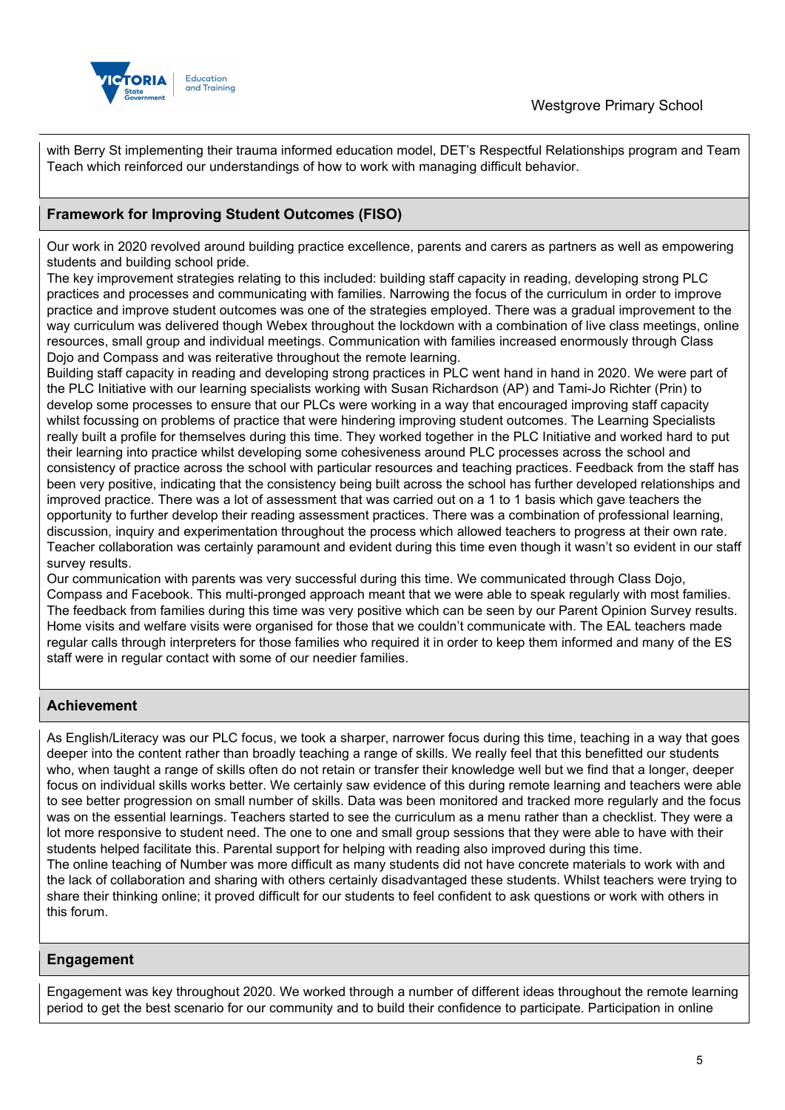

with Berry St implementing their trauma informed education model, DET's Respectful Relationships program and Team Teach which reinforced our understandings of how to work with managing difficult behavior.

### **Framework for Improving Student Outcomes (FISO)**

Our work in 2020 revolved around building practice excellence, parents and carers as partners as well as empowering students and building school pride.

The key improvement strategies relating to this included: building staff capacity in reading, developing strong PLC practices and processes and communicating with families. Narrowing the focus of the curriculum in order to improve practice and improve student outcomes was one of the strategies employed. There was a gradual improvement to the way curriculum was delivered though Webex throughout the lockdown with a combination of live class meetings, online resources, small group and individual meetings. Communication with families increased enormously through Class Dojo and Compass and was reiterative throughout the remote learning.

Building staff capacity in reading and developing strong practices in PLC went hand in hand in 2020. We were part of the PLC Initiative with our learning specialists working with Susan Richardson (AP) and Tami-Jo Richter (Prin) to develop some processes to ensure that our PLCs were working in a way that encouraged improving staff capacity whilst focussing on problems of practice that were hindering improving student outcomes. The Learning Specialists really built a profile for themselves during this time. They worked together in the PLC Initiative and worked hard to put their learning into practice whilst developing some cohesiveness around PLC processes across the school and consistency of practice across the school with particular resources and teaching practices. Feedback from the staff has been very positive, indicating that the consistency being built across the school has further developed relationships and improved practice. There was a lot of assessment that was carried out on a 1 to 1 basis which gave teachers the opportunity to further develop their reading assessment practices. There was a combination of professional learning, discussion, inquiry and experimentation throughout the process which allowed teachers to progress at their own rate. Teacher collaboration was certainly paramount and evident during this time even though it wasn't so evident in our staff survey results.

Our communication with parents was very successful during this time. We communicated through Class Dojo, Compass and Facebook. This multi-pronged approach meant that we were able to speak regularly with most families. The feedback from families during this time was very positive which can be seen by our Parent Opinion Survey results. Home visits and welfare visits were organised for those that we couldn't communicate with. The EAL teachers made regular calls through interpreters for those families who required it in order to keep them informed and many of the ES staff were in regular contact with some of our needier families.

### **Achievement**

As English/Literacy was our PLC focus, we took a sharper, narrower focus during this time, teaching in a way that goes deeper into the content rather than broadly teaching a range of skills. We really feel that this benefitted our students who, when taught a range of skills often do not retain or transfer their knowledge well but we find that a longer, deeper focus on individual skills works better. We certainly saw evidence of this during remote learning and teachers were able to see better progression on small number of skills. Data was been monitored and tracked more regularly and the focus was on the essential learnings. Teachers started to see the curriculum as a menu rather than a checklist. They were a lot more responsive to student need. The one to one and small group sessions that they were able to have with their students helped facilitate this. Parental support for helping with reading also improved during this time. The online teaching of Number was more difficult as many students did not have concrete materials to work with and the lack of collaboration and sharing with others certainly disadvantaged these students. Whilst teachers were trying to share their thinking online; it proved difficult for our students to feel confident to ask questions or work with others in this forum.

#### **Engagement**

Engagement was key throughout 2020. We worked through a number of different ideas throughout the remote learning period to get the best scenario for our community and to build their confidence to participate. Participation in online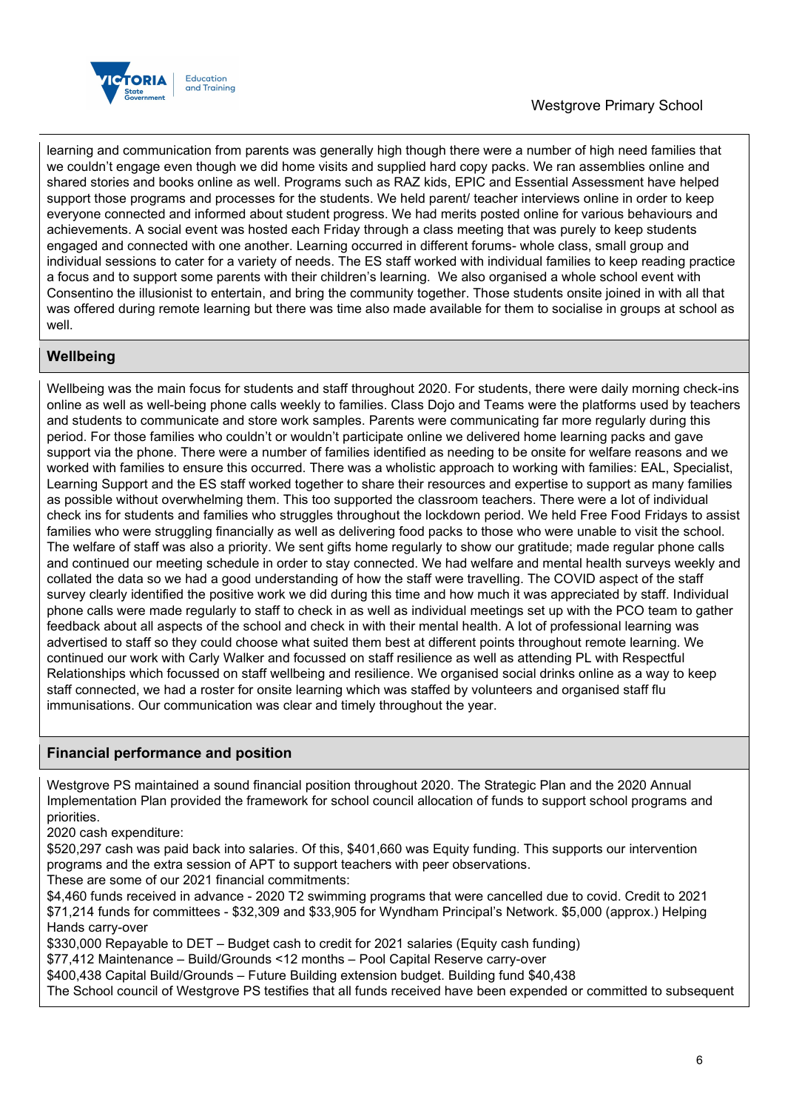

## Westgrove Primary School

learning and communication from parents was generally high though there were a number of high need families that we couldn't engage even though we did home visits and supplied hard copy packs. We ran assemblies online and shared stories and books online as well. Programs such as RAZ kids, EPIC and Essential Assessment have helped support those programs and processes for the students. We held parent/ teacher interviews online in order to keep everyone connected and informed about student progress. We had merits posted online for various behaviours and achievements. A social event was hosted each Friday through a class meeting that was purely to keep students engaged and connected with one another. Learning occurred in different forums- whole class, small group and individual sessions to cater for a variety of needs. The ES staff worked with individual families to keep reading practice a focus and to support some parents with their children's learning. We also organised a whole school event with Consentino the illusionist to entertain, and bring the community together. Those students onsite joined in with all that was offered during remote learning but there was time also made available for them to socialise in groups at school as well.

#### **Wellbeing**

Wellbeing was the main focus for students and staff throughout 2020. For students, there were daily morning check-ins online as well as well-being phone calls weekly to families. Class Dojo and Teams were the platforms used by teachers and students to communicate and store work samples. Parents were communicating far more regularly during this period. For those families who couldn't or wouldn't participate online we delivered home learning packs and gave support via the phone. There were a number of families identified as needing to be onsite for welfare reasons and we worked with families to ensure this occurred. There was a wholistic approach to working with families: EAL, Specialist, Learning Support and the ES staff worked together to share their resources and expertise to support as many families as possible without overwhelming them. This too supported the classroom teachers. There were a lot of individual check ins for students and families who struggles throughout the lockdown period. We held Free Food Fridays to assist families who were struggling financially as well as delivering food packs to those who were unable to visit the school. The welfare of staff was also a priority. We sent gifts home regularly to show our gratitude; made regular phone calls and continued our meeting schedule in order to stay connected. We had welfare and mental health surveys weekly and collated the data so we had a good understanding of how the staff were travelling. The COVID aspect of the staff survey clearly identified the positive work we did during this time and how much it was appreciated by staff. Individual phone calls were made regularly to staff to check in as well as individual meetings set up with the PCO team to gather feedback about all aspects of the school and check in with their mental health. A lot of professional learning was advertised to staff so they could choose what suited them best at different points throughout remote learning. We continued our work with Carly Walker and focussed on staff resilience as well as attending PL with Respectful Relationships which focussed on staff wellbeing and resilience. We organised social drinks online as a way to keep staff connected, we had a roster for onsite learning which was staffed by volunteers and organised staff flu immunisations. Our communication was clear and timely throughout the year.

#### **Financial performance and position**

Westgrove PS maintained a sound financial position throughout 2020. The Strategic Plan and the 2020 Annual Implementation Plan provided the framework for school council allocation of funds to support school programs and priorities.

2020 cash expenditure:

\$520,297 cash was paid back into salaries. Of this, \$401,660 was Equity funding. This supports our intervention programs and the extra session of APT to support teachers with peer observations.

These are some of our 2021 financial commitments:

\$4,460 funds received in advance - 2020 T2 swimming programs that were cancelled due to covid. Credit to 2021 \$71,214 funds for committees - \$32,309 and \$33,905 for Wyndham Principal's Network. \$5,000 (approx.) Helping Hands carry-over

\$330,000 Repayable to DET – Budget cash to credit for 2021 salaries (Equity cash funding)

\$77,412 Maintenance – Build/Grounds <12 months – Pool Capital Reserve carry-over

\$400,438 Capital Build/Grounds – Future Building extension budget. Building fund \$40,438

The School council of Westgrove PS testifies that all funds received have been expended or committed to subsequent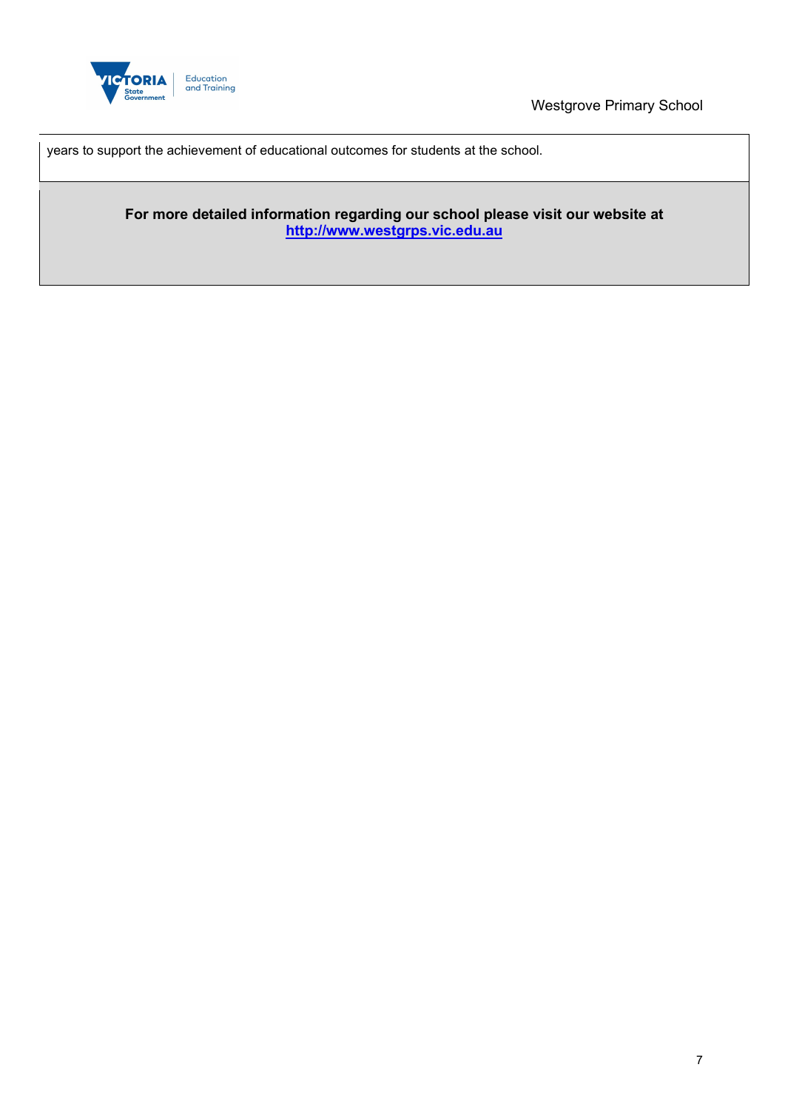

Westgrove Primary School

years to support the achievement of educational outcomes for students at the school.

**For more detailed information regarding our school please visit our website at [http://www.westgrps.vic.edu.au](http://www.westgrps.vic.edu.au/)**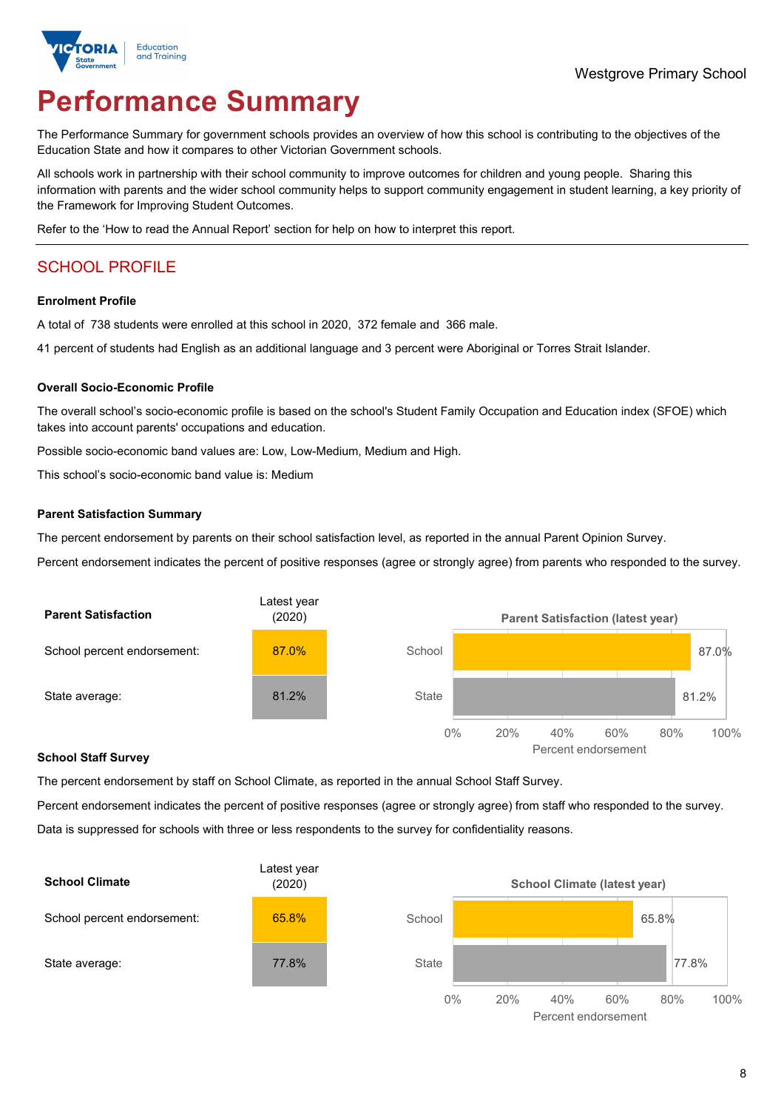

# **Performance Summary**

The Performance Summary for government schools provides an overview of how this school is contributing to the objectives of the Education State and how it compares to other Victorian Government schools.

All schools work in partnership with their school community to improve outcomes for children and young people. Sharing this information with parents and the wider school community helps to support community engagement in student learning, a key priority of the Framework for Improving Student Outcomes.

Refer to the 'How to read the Annual Report' section for help on how to interpret this report.

## SCHOOL PROFILE

#### **Enrolment Profile**

A total of 738 students were enrolled at this school in 2020, 372 female and 366 male.

41 percent of students had English as an additional language and 3 percent were Aboriginal or Torres Strait Islander.

#### **Overall Socio-Economic Profile**

The overall school's socio-economic profile is based on the school's Student Family Occupation and Education index (SFOE) which takes into account parents' occupations and education.

Possible socio-economic band values are: Low, Low-Medium, Medium and High.

This school's socio-economic band value is: Medium

#### **Parent Satisfaction Summary**

The percent endorsement by parents on their school satisfaction level, as reported in the annual Parent Opinion Survey.

Percent endorsement indicates the percent of positive responses (agree or strongly agree) from parents who responded to the survey.



#### **School Staff Survey**

The percent endorsement by staff on School Climate, as reported in the annual School Staff Survey.

Percent endorsement indicates the percent of positive responses (agree or strongly agree) from staff who responded to the survey. Data is suppressed for schools with three or less respondents to the survey for confidentiality reasons.



Percent endorsement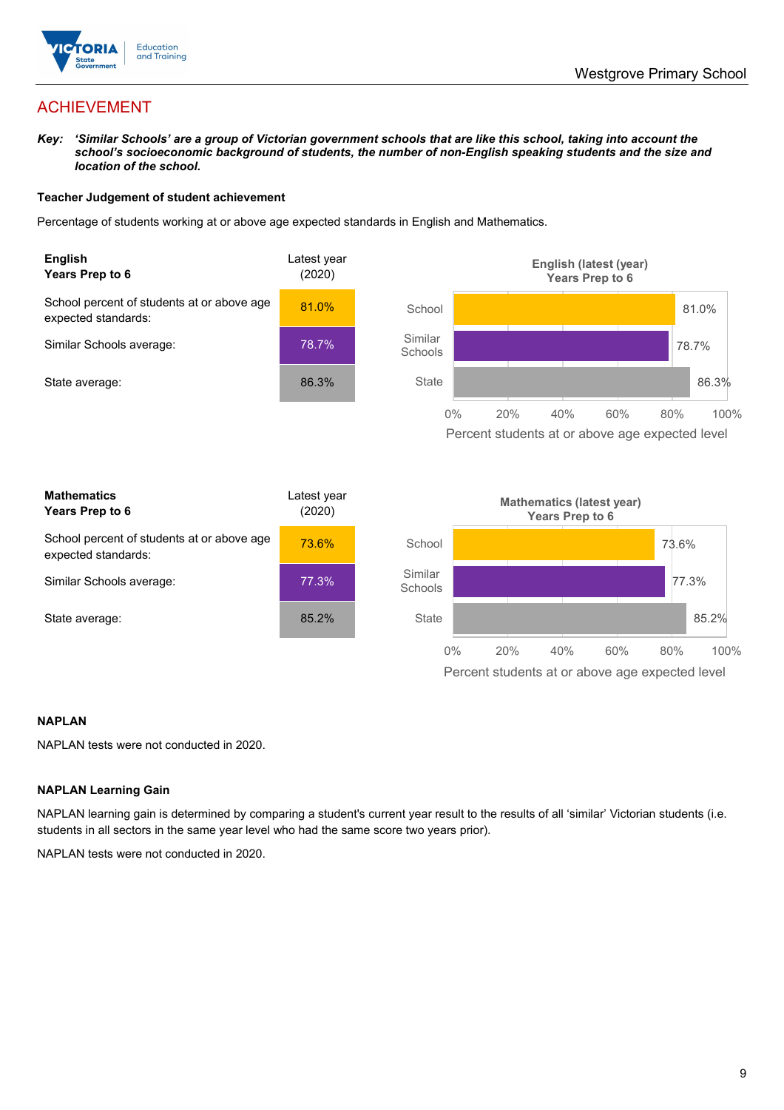

## ACHIEVEMENT

*Key: 'Similar Schools' are a group of Victorian government schools that are like this school, taking into account the school's socioeconomic background of students, the number of non-English speaking students and the size and location of the school.*

#### **Teacher Judgement of student achievement**

Percentage of students working at or above age expected standards in English and Mathematics.



#### **NAPLAN**

NAPLAN tests were not conducted in 2020.

#### **NAPLAN Learning Gain**

NAPLAN learning gain is determined by comparing a student's current year result to the results of all 'similar' Victorian students (i.e. students in all sectors in the same year level who had the same score two years prior).

NAPLAN tests were not conducted in 2020.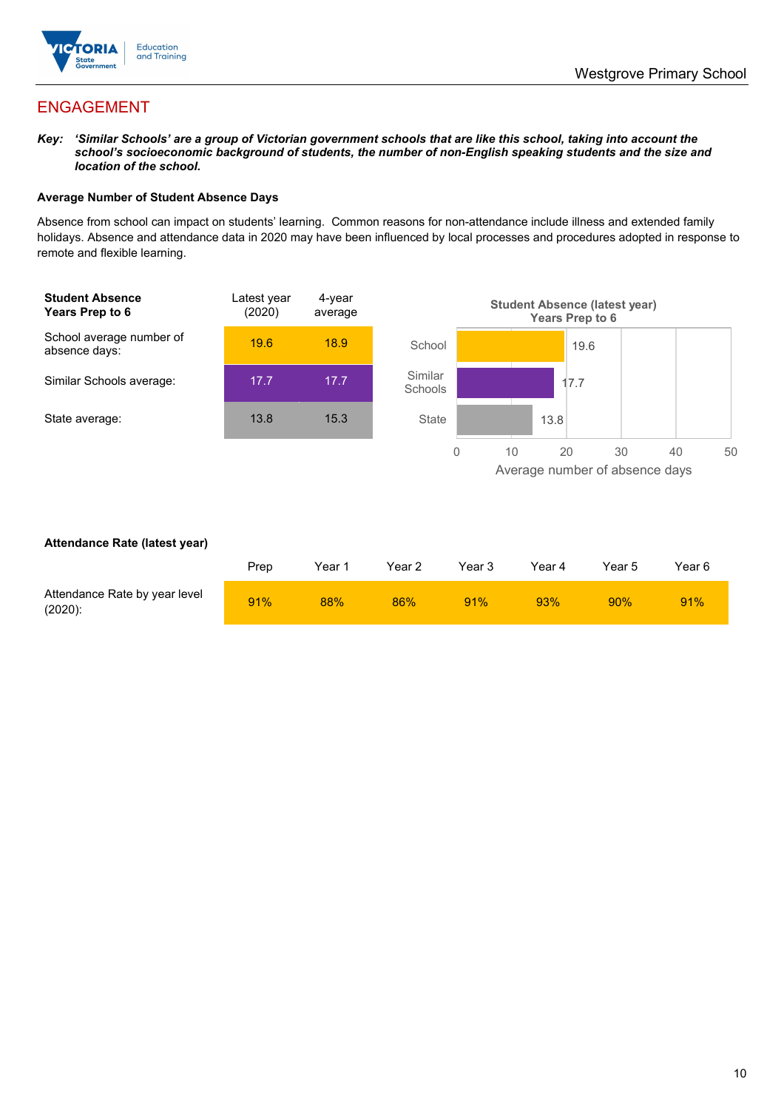

## ENGAGEMENT

*Key: 'Similar Schools' are a group of Victorian government schools that are like this school, taking into account the school's socioeconomic background of students, the number of non-English speaking students and the size and location of the school.*

#### **Average Number of Student Absence Days**

Absence from school can impact on students' learning. Common reasons for non-attendance include illness and extended family holidays. Absence and attendance data in 2020 may have been influenced by local processes and procedures adopted in response to remote and flexible learning.



#### **Attendance Rate (latest year)**

|                                             | Prep | Year 1 | Year 2 | Year 3 | Year 4 | Year 5 | Year 6 |
|---------------------------------------------|------|--------|--------|--------|--------|--------|--------|
| Attendance Rate by year level<br>$(2020)$ : | 91%  | 88%    | 86%    | 91%    | 93%    | 90%    | 91%    |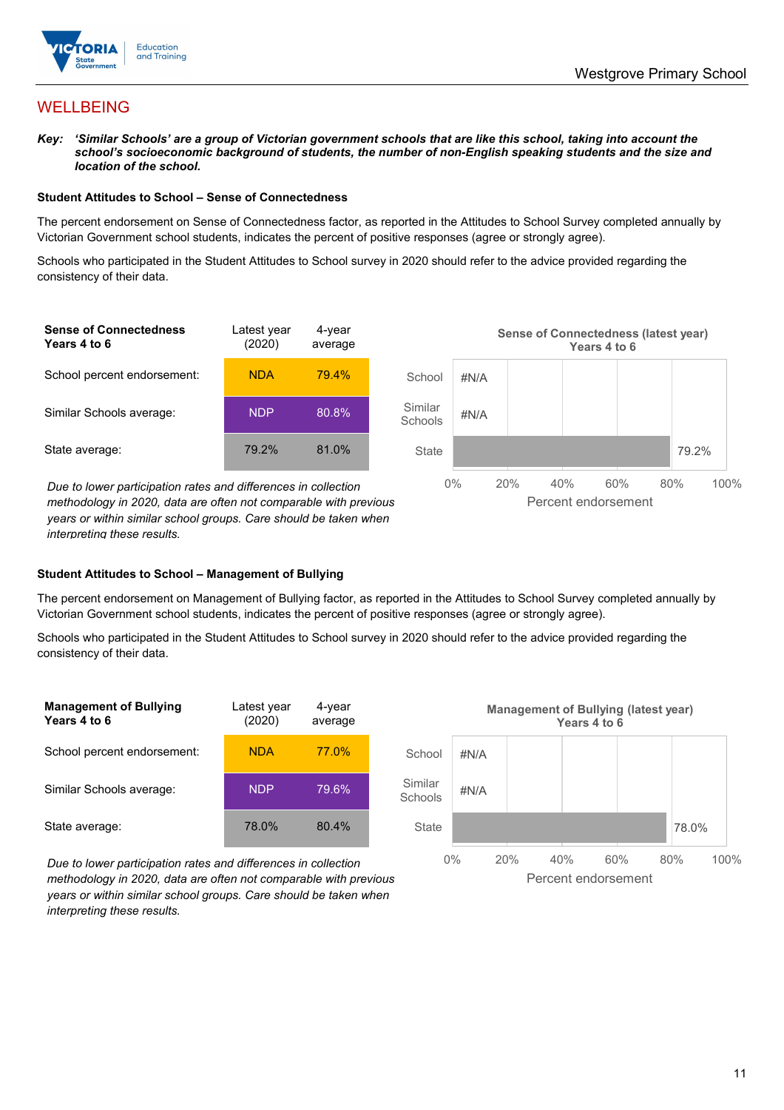

## WELLBEING

*Key: 'Similar Schools' are a group of Victorian government schools that are like this school, taking into account the school's socioeconomic background of students, the number of non-English speaking students and the size and location of the school.*

#### **Student Attitudes to School – Sense of Connectedness**

The percent endorsement on Sense of Connectedness factor, as reported in the Attitudes to School Survey completed annually by Victorian Government school students, indicates the percent of positive responses (agree or strongly agree).

Schools who participated in the Student Attitudes to School survey in 2020 should refer to the advice provided regarding the consistency of their data.



*methodology in 2020, data are often not comparable with previous years or within similar school groups. Care should be taken when interpreting these results.*

#### **Student Attitudes to School – Management of Bullying**

The percent endorsement on Management of Bullying factor, as reported in the Attitudes to School Survey completed annually by Victorian Government school students, indicates the percent of positive responses (agree or strongly agree).

Schools who participated in the Student Attitudes to School survey in 2020 should refer to the advice provided regarding the consistency of their data.



*Due to lower participation rates and differences in collection methodology in 2020, data are often not comparable with previous years or within similar school groups. Care should be taken when interpreting these results.*

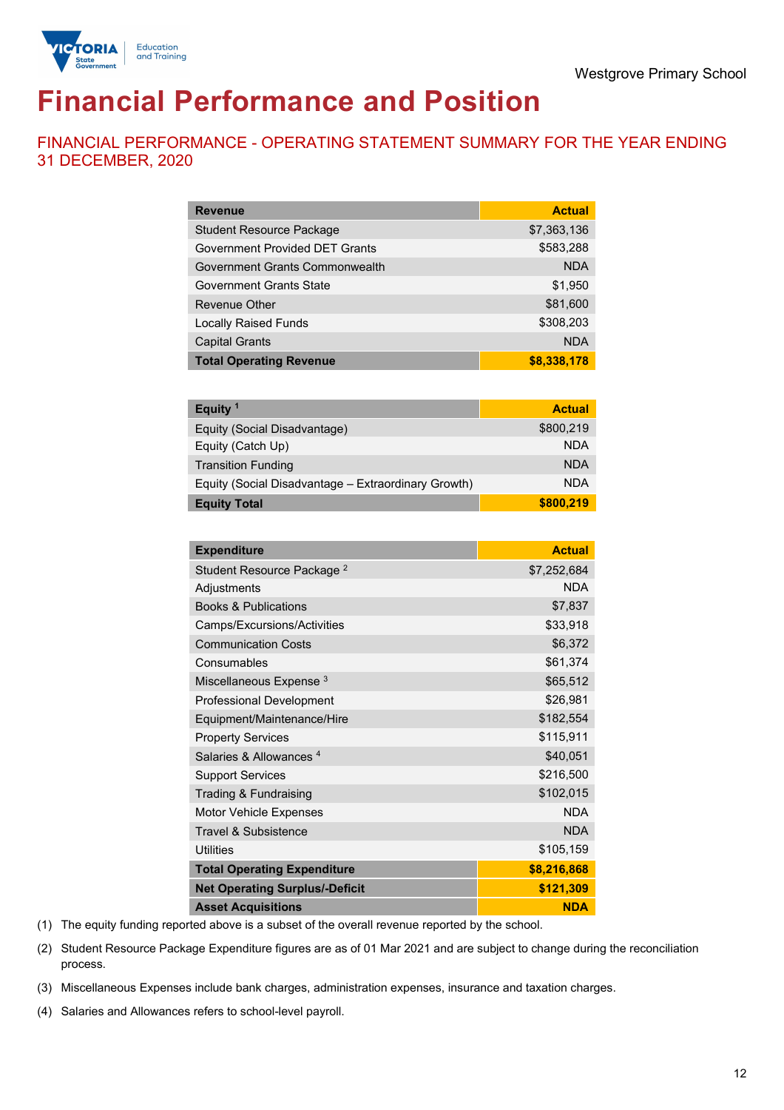

# **Financial Performance and Position**

FINANCIAL PERFORMANCE - OPERATING STATEMENT SUMMARY FOR THE YEAR ENDING 31 DECEMBER, 2020

| <b>Revenue</b>                        | <b>Actual</b> |
|---------------------------------------|---------------|
| <b>Student Resource Package</b>       | \$7,363,136   |
| <b>Government Provided DET Grants</b> | \$583,288     |
| Government Grants Commonwealth        | <b>NDA</b>    |
| <b>Government Grants State</b>        | \$1,950       |
| <b>Revenue Other</b>                  | \$81,600      |
| <b>Locally Raised Funds</b>           | \$308,203     |
| <b>Capital Grants</b>                 | <b>NDA</b>    |
| <b>Total Operating Revenue</b>        | \$8,338,178   |

| Equity <sup>1</sup>                                 | <b>Actual</b> |
|-----------------------------------------------------|---------------|
| Equity (Social Disadvantage)                        | \$800,219     |
| Equity (Catch Up)                                   | <b>NDA</b>    |
| <b>Transition Funding</b>                           | <b>NDA</b>    |
| Equity (Social Disadvantage - Extraordinary Growth) | <b>NDA</b>    |
| <b>Equity Total</b>                                 | \$800,219     |

| <b>Expenditure</b>                    | <b>Actual</b> |
|---------------------------------------|---------------|
| Student Resource Package <sup>2</sup> | \$7,252,684   |
| Adjustments                           | <b>NDA</b>    |
| <b>Books &amp; Publications</b>       | \$7,837       |
| Camps/Excursions/Activities           | \$33,918      |
| <b>Communication Costs</b>            | \$6,372       |
| Consumables                           | \$61,374      |
| Miscellaneous Expense <sup>3</sup>    | \$65,512      |
| <b>Professional Development</b>       | \$26,981      |
| Equipment/Maintenance/Hire            | \$182,554     |
| <b>Property Services</b>              | \$115,911     |
| Salaries & Allowances <sup>4</sup>    | \$40,051      |
| <b>Support Services</b>               | \$216,500     |
| Trading & Fundraising                 | \$102,015     |
| Motor Vehicle Expenses                | <b>NDA</b>    |
| Travel & Subsistence                  | <b>NDA</b>    |
| <b>Utilities</b>                      | \$105,159     |
| <b>Total Operating Expenditure</b>    | \$8,216,868   |
| <b>Net Operating Surplus/-Deficit</b> | \$121,309     |
| <b>Asset Acquisitions</b>             | <b>NDA</b>    |

(1) The equity funding reported above is a subset of the overall revenue reported by the school.

(2) Student Resource Package Expenditure figures are as of 01 Mar 2021 and are subject to change during the reconciliation process.

(3) Miscellaneous Expenses include bank charges, administration expenses, insurance and taxation charges.

(4) Salaries and Allowances refers to school-level payroll.